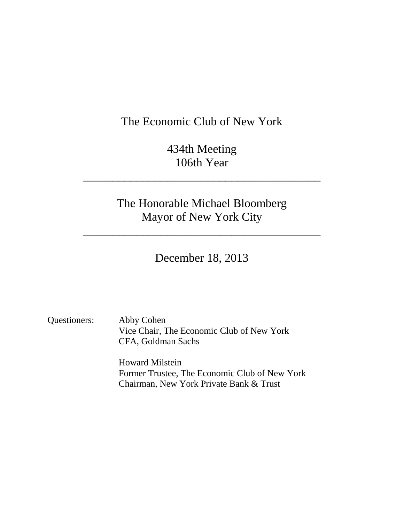# The Economic Club of New York

434th Meeting 106th Year

\_\_\_\_\_\_\_\_\_\_\_\_\_\_\_\_\_\_\_\_\_\_\_\_\_\_\_\_\_\_\_\_\_\_\_\_\_\_\_\_

The Honorable Michael Bloomberg Mayor of New York City

\_\_\_\_\_\_\_\_\_\_\_\_\_\_\_\_\_\_\_\_\_\_\_\_\_\_\_\_\_\_\_\_\_\_\_\_\_\_\_\_

December 18, 2013

Questioners: Abby Cohen Vice Chair, The Economic Club of New York CFA, Goldman Sachs

> Howard Milstein Former Trustee, The Economic Club of New York Chairman, New York Private Bank & Trust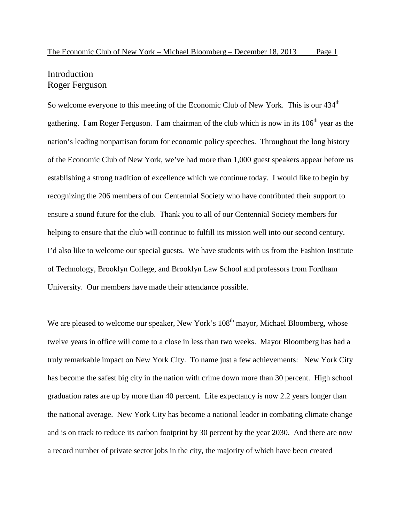## Introduction Roger Ferguson

So welcome everyone to this meeting of the Economic Club of New York. This is our 434<sup>th</sup> gathering. I am Roger Ferguson. I am chairman of the club which is now in its 106<sup>th</sup> year as the nation's leading nonpartisan forum for economic policy speeches. Throughout the long history of the Economic Club of New York, we've had more than 1,000 guest speakers appear before us establishing a strong tradition of excellence which we continue today. I would like to begin by recognizing the 206 members of our Centennial Society who have contributed their support to ensure a sound future for the club. Thank you to all of our Centennial Society members for helping to ensure that the club will continue to fulfill its mission well into our second century. I'd also like to welcome our special guests. We have students with us from the Fashion Institute of Technology, Brooklyn College, and Brooklyn Law School and professors from Fordham University. Our members have made their attendance possible.

We are pleased to welcome our speaker, New York's  $108<sup>th</sup>$  mayor, Michael Bloomberg, whose twelve years in office will come to a close in less than two weeks. Mayor Bloomberg has had a truly remarkable impact on New York City. To name just a few achievements: New York City has become the safest big city in the nation with crime down more than 30 percent. High school graduation rates are up by more than 40 percent. Life expectancy is now 2.2 years longer than the national average. New York City has become a national leader in combating climate change and is on track to reduce its carbon footprint by 30 percent by the year 2030. And there are now a record number of private sector jobs in the city, the majority of which have been created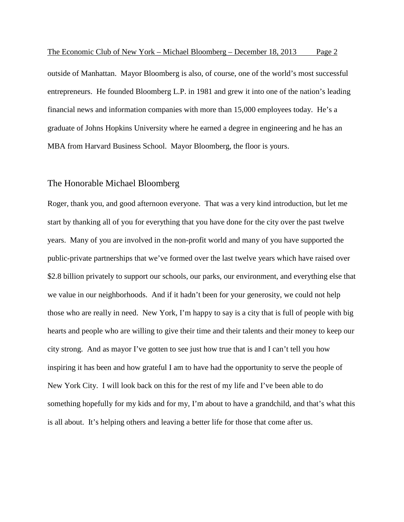outside of Manhattan. Mayor Bloomberg is also, of course, one of the world's most successful entrepreneurs. He founded Bloomberg L.P. in 1981 and grew it into one of the nation's leading financial news and information companies with more than 15,000 employees today. He's a graduate of Johns Hopkins University where he earned a degree in engineering and he has an MBA from Harvard Business School. Mayor Bloomberg, the floor is yours.

### The Honorable Michael Bloomberg

Roger, thank you, and good afternoon everyone. That was a very kind introduction, but let me start by thanking all of you for everything that you have done for the city over the past twelve years. Many of you are involved in the non-profit world and many of you have supported the public-private partnerships that we've formed over the last twelve years which have raised over \$2.8 billion privately to support our schools, our parks, our environment, and everything else that we value in our neighborhoods. And if it hadn't been for your generosity, we could not help those who are really in need. New York, I'm happy to say is a city that is full of people with big hearts and people who are willing to give their time and their talents and their money to keep our city strong. And as mayor I've gotten to see just how true that is and I can't tell you how inspiring it has been and how grateful I am to have had the opportunity to serve the people of New York City. I will look back on this for the rest of my life and I've been able to do something hopefully for my kids and for my, I'm about to have a grandchild, and that's what this is all about. It's helping others and leaving a better life for those that come after us.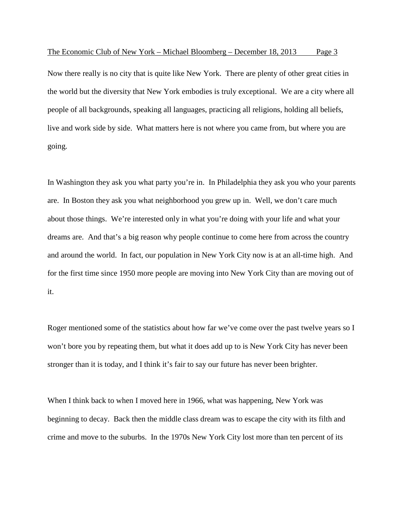Now there really is no city that is quite like New York. There are plenty of other great cities in the world but the diversity that New York embodies is truly exceptional. We are a city where all people of all backgrounds, speaking all languages, practicing all religions, holding all beliefs, live and work side by side. What matters here is not where you came from, but where you are going.

In Washington they ask you what party you're in. In Philadelphia they ask you who your parents are. In Boston they ask you what neighborhood you grew up in. Well, we don't care much about those things. We're interested only in what you're doing with your life and what your dreams are. And that's a big reason why people continue to come here from across the country and around the world. In fact, our population in New York City now is at an all-time high. And for the first time since 1950 more people are moving into New York City than are moving out of it.

Roger mentioned some of the statistics about how far we've come over the past twelve years so I won't bore you by repeating them, but what it does add up to is New York City has never been stronger than it is today, and I think it's fair to say our future has never been brighter.

When I think back to when I moved here in 1966, what was happening, New York was beginning to decay. Back then the middle class dream was to escape the city with its filth and crime and move to the suburbs. In the 1970s New York City lost more than ten percent of its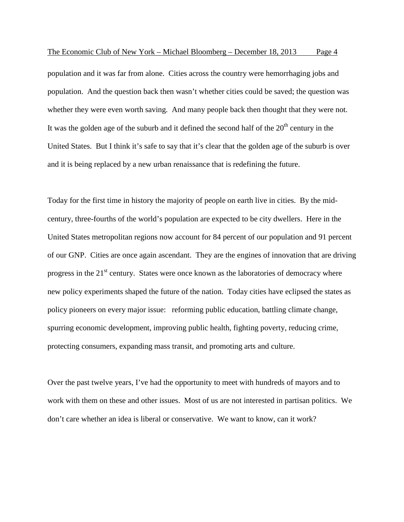population and it was far from alone. Cities across the country were hemorrhaging jobs and population. And the question back then wasn't whether cities could be saved; the question was whether they were even worth saving. And many people back then thought that they were not. It was the golden age of the suburb and it defined the second half of the  $20<sup>th</sup>$  century in the United States. But I think it's safe to say that it's clear that the golden age of the suburb is over and it is being replaced by a new urban renaissance that is redefining the future.

Today for the first time in history the majority of people on earth live in cities. By the midcentury, three-fourths of the world's population are expected to be city dwellers. Here in the United States metropolitan regions now account for 84 percent of our population and 91 percent of our GNP. Cities are once again ascendant. They are the engines of innovation that are driving progress in the  $21<sup>st</sup>$  century. States were once known as the laboratories of democracy where new policy experiments shaped the future of the nation. Today cities have eclipsed the states as policy pioneers on every major issue: reforming public education, battling climate change, spurring economic development, improving public health, fighting poverty, reducing crime, protecting consumers, expanding mass transit, and promoting arts and culture.

Over the past twelve years, I've had the opportunity to meet with hundreds of mayors and to work with them on these and other issues. Most of us are not interested in partisan politics. We don't care whether an idea is liberal or conservative. We want to know, can it work?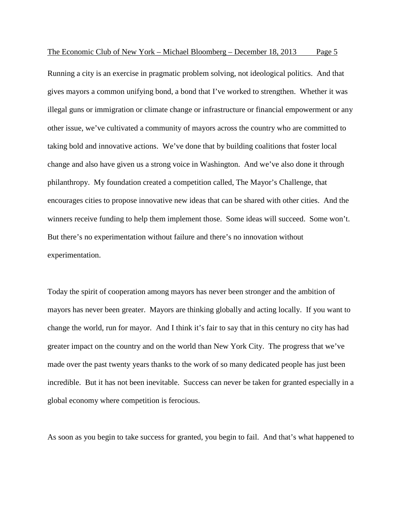Running a city is an exercise in pragmatic problem solving, not ideological politics. And that gives mayors a common unifying bond, a bond that I've worked to strengthen. Whether it was illegal guns or immigration or climate change or infrastructure or financial empowerment or any other issue, we've cultivated a community of mayors across the country who are committed to taking bold and innovative actions. We've done that by building coalitions that foster local change and also have given us a strong voice in Washington. And we've also done it through philanthropy. My foundation created a competition called, The Mayor's Challenge, that encourages cities to propose innovative new ideas that can be shared with other cities. And the winners receive funding to help them implement those. Some ideas will succeed. Some won't. But there's no experimentation without failure and there's no innovation without experimentation.

Today the spirit of cooperation among mayors has never been stronger and the ambition of mayors has never been greater. Mayors are thinking globally and acting locally. If you want to change the world, run for mayor. And I think it's fair to say that in this century no city has had greater impact on the country and on the world than New York City. The progress that we've made over the past twenty years thanks to the work of so many dedicated people has just been incredible. But it has not been inevitable. Success can never be taken for granted especially in a global economy where competition is ferocious.

As soon as you begin to take success for granted, you begin to fail. And that's what happened to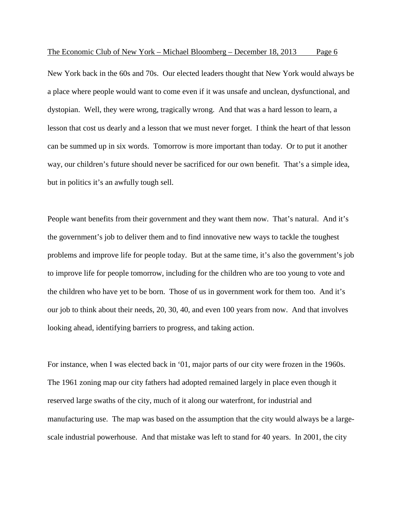New York back in the 60s and 70s. Our elected leaders thought that New York would always be a place where people would want to come even if it was unsafe and unclean, dysfunctional, and dystopian. Well, they were wrong, tragically wrong. And that was a hard lesson to learn, a lesson that cost us dearly and a lesson that we must never forget. I think the heart of that lesson can be summed up in six words. Tomorrow is more important than today. Or to put it another way, our children's future should never be sacrificed for our own benefit. That's a simple idea, but in politics it's an awfully tough sell.

People want benefits from their government and they want them now. That's natural. And it's the government's job to deliver them and to find innovative new ways to tackle the toughest problems and improve life for people today. But at the same time, it's also the government's job to improve life for people tomorrow, including for the children who are too young to vote and the children who have yet to be born. Those of us in government work for them too. And it's our job to think about their needs, 20, 30, 40, and even 100 years from now. And that involves looking ahead, identifying barriers to progress, and taking action.

For instance, when I was elected back in '01, major parts of our city were frozen in the 1960s. The 1961 zoning map our city fathers had adopted remained largely in place even though it reserved large swaths of the city, much of it along our waterfront, for industrial and manufacturing use. The map was based on the assumption that the city would always be a largescale industrial powerhouse. And that mistake was left to stand for 40 years. In 2001, the city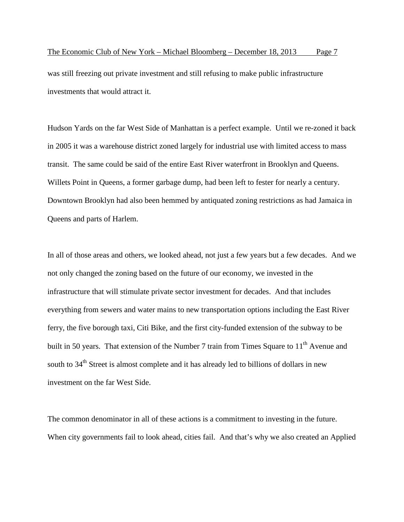was still freezing out private investment and still refusing to make public infrastructure investments that would attract it.

Hudson Yards on the far West Side of Manhattan is a perfect example. Until we re-zoned it back in 2005 it was a warehouse district zoned largely for industrial use with limited access to mass transit. The same could be said of the entire East River waterfront in Brooklyn and Queens. Willets Point in Queens, a former garbage dump, had been left to fester for nearly a century. Downtown Brooklyn had also been hemmed by antiquated zoning restrictions as had Jamaica in Queens and parts of Harlem.

In all of those areas and others, we looked ahead, not just a few years but a few decades. And we not only changed the zoning based on the future of our economy, we invested in the infrastructure that will stimulate private sector investment for decades. And that includes everything from sewers and water mains to new transportation options including the East River ferry, the five borough taxi, Citi Bike, and the first city-funded extension of the subway to be built in 50 years. That extension of the Number 7 train from Times Square to 11<sup>th</sup> Avenue and south to 34<sup>th</sup> Street is almost complete and it has already led to billions of dollars in new investment on the far West Side.

The common denominator in all of these actions is a commitment to investing in the future. When city governments fail to look ahead, cities fail. And that's why we also created an Applied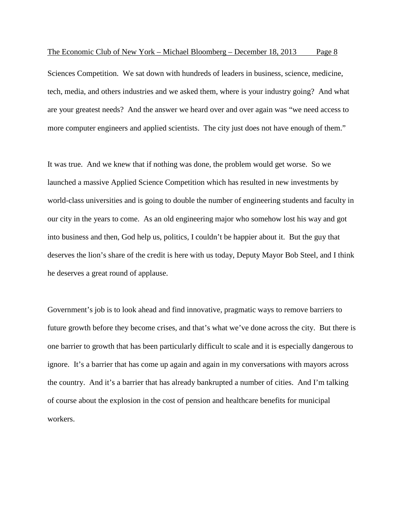Sciences Competition. We sat down with hundreds of leaders in business, science, medicine, tech, media, and others industries and we asked them, where is your industry going? And what are your greatest needs? And the answer we heard over and over again was "we need access to more computer engineers and applied scientists. The city just does not have enough of them."

It was true. And we knew that if nothing was done, the problem would get worse. So we launched a massive Applied Science Competition which has resulted in new investments by world-class universities and is going to double the number of engineering students and faculty in our city in the years to come. As an old engineering major who somehow lost his way and got into business and then, God help us, politics, I couldn't be happier about it. But the guy that deserves the lion's share of the credit is here with us today, Deputy Mayor Bob Steel, and I think he deserves a great round of applause.

Government's job is to look ahead and find innovative, pragmatic ways to remove barriers to future growth before they become crises, and that's what we've done across the city. But there is one barrier to growth that has been particularly difficult to scale and it is especially dangerous to ignore. It's a barrier that has come up again and again in my conversations with mayors across the country. And it's a barrier that has already bankrupted a number of cities. And I'm talking of course about the explosion in the cost of pension and healthcare benefits for municipal workers.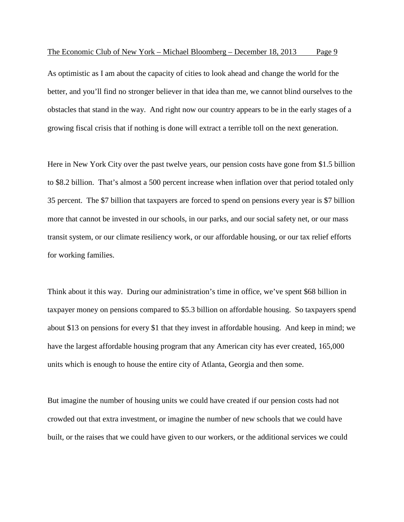As optimistic as I am about the capacity of cities to look ahead and change the world for the better, and you'll find no stronger believer in that idea than me, we cannot blind ourselves to the obstacles that stand in the way. And right now our country appears to be in the early stages of a growing fiscal crisis that if nothing is done will extract a terrible toll on the next generation.

Here in New York City over the past twelve years, our pension costs have gone from \$1.5 billion to \$8.2 billion. That's almost a 500 percent increase when inflation over that period totaled only 35 percent. The \$7 billion that taxpayers are forced to spend on pensions every year is \$7 billion more that cannot be invested in our schools, in our parks, and our social safety net, or our mass transit system, or our climate resiliency work, or our affordable housing, or our tax relief efforts for working families.

Think about it this way. During our administration's time in office, we've spent \$68 billion in taxpayer money on pensions compared to \$5.3 billion on affordable housing. So taxpayers spend about \$13 on pensions for every \$1 that they invest in affordable housing. And keep in mind; we have the largest affordable housing program that any American city has ever created, 165,000 units which is enough to house the entire city of Atlanta, Georgia and then some.

But imagine the number of housing units we could have created if our pension costs had not crowded out that extra investment, or imagine the number of new schools that we could have built, or the raises that we could have given to our workers, or the additional services we could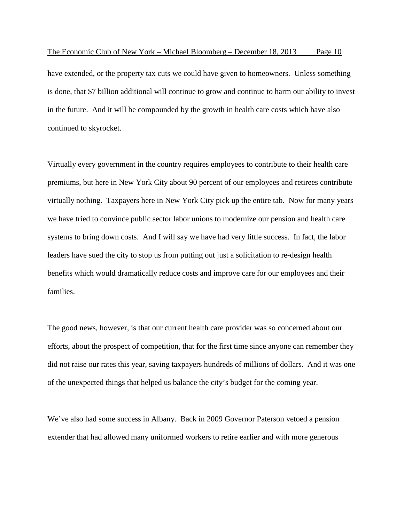have extended, or the property tax cuts we could have given to homeowners. Unless something is done, that \$7 billion additional will continue to grow and continue to harm our ability to invest in the future. And it will be compounded by the growth in health care costs which have also continued to skyrocket.

Virtually every government in the country requires employees to contribute to their health care premiums, but here in New York City about 90 percent of our employees and retirees contribute virtually nothing. Taxpayers here in New York City pick up the entire tab. Now for many years we have tried to convince public sector labor unions to modernize our pension and health care systems to bring down costs. And I will say we have had very little success. In fact, the labor leaders have sued the city to stop us from putting out just a solicitation to re-design health benefits which would dramatically reduce costs and improve care for our employees and their families.

The good news, however, is that our current health care provider was so concerned about our efforts, about the prospect of competition, that for the first time since anyone can remember they did not raise our rates this year, saving taxpayers hundreds of millions of dollars. And it was one of the unexpected things that helped us balance the city's budget for the coming year.

We've also had some success in Albany. Back in 2009 Governor Paterson vetoed a pension extender that had allowed many uniformed workers to retire earlier and with more generous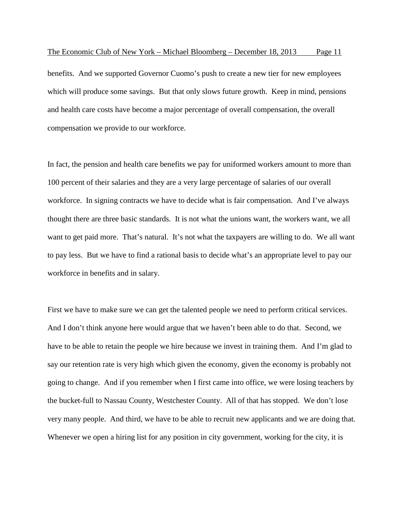benefits. And we supported Governor Cuomo's push to create a new tier for new employees which will produce some savings. But that only slows future growth. Keep in mind, pensions and health care costs have become a major percentage of overall compensation, the overall compensation we provide to our workforce.

In fact, the pension and health care benefits we pay for uniformed workers amount to more than 100 percent of their salaries and they are a very large percentage of salaries of our overall workforce. In signing contracts we have to decide what is fair compensation. And I've always thought there are three basic standards. It is not what the unions want, the workers want, we all want to get paid more. That's natural. It's not what the taxpayers are willing to do. We all want to pay less. But we have to find a rational basis to decide what's an appropriate level to pay our workforce in benefits and in salary.

First we have to make sure we can get the talented people we need to perform critical services. And I don't think anyone here would argue that we haven't been able to do that. Second, we have to be able to retain the people we hire because we invest in training them. And I'm glad to say our retention rate is very high which given the economy, given the economy is probably not going to change. And if you remember when I first came into office, we were losing teachers by the bucket-full to Nassau County, Westchester County. All of that has stopped. We don't lose very many people. And third, we have to be able to recruit new applicants and we are doing that. Whenever we open a hiring list for any position in city government, working for the city, it is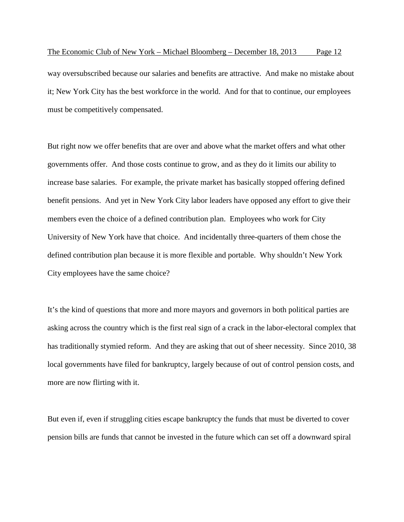way oversubscribed because our salaries and benefits are attractive. And make no mistake about it; New York City has the best workforce in the world. And for that to continue, our employees must be competitively compensated.

But right now we offer benefits that are over and above what the market offers and what other governments offer. And those costs continue to grow, and as they do it limits our ability to increase base salaries. For example, the private market has basically stopped offering defined benefit pensions. And yet in New York City labor leaders have opposed any effort to give their members even the choice of a defined contribution plan. Employees who work for City University of New York have that choice. And incidentally three-quarters of them chose the defined contribution plan because it is more flexible and portable. Why shouldn't New York City employees have the same choice?

It's the kind of questions that more and more mayors and governors in both political parties are asking across the country which is the first real sign of a crack in the labor-electoral complex that has traditionally stymied reform. And they are asking that out of sheer necessity. Since 2010, 38 local governments have filed for bankruptcy, largely because of out of control pension costs, and more are now flirting with it.

But even if, even if struggling cities escape bankruptcy the funds that must be diverted to cover pension bills are funds that cannot be invested in the future which can set off a downward spiral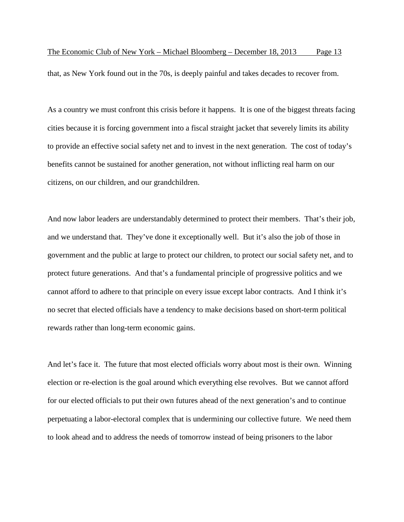that, as New York found out in the 70s, is deeply painful and takes decades to recover from.

As a country we must confront this crisis before it happens. It is one of the biggest threats facing cities because it is forcing government into a fiscal straight jacket that severely limits its ability to provide an effective social safety net and to invest in the next generation. The cost of today's benefits cannot be sustained for another generation, not without inflicting real harm on our citizens, on our children, and our grandchildren.

And now labor leaders are understandably determined to protect their members. That's their job, and we understand that. They've done it exceptionally well. But it's also the job of those in government and the public at large to protect our children, to protect our social safety net, and to protect future generations. And that's a fundamental principle of progressive politics and we cannot afford to adhere to that principle on every issue except labor contracts. And I think it's no secret that elected officials have a tendency to make decisions based on short-term political rewards rather than long-term economic gains.

And let's face it. The future that most elected officials worry about most is their own. Winning election or re-election is the goal around which everything else revolves. But we cannot afford for our elected officials to put their own futures ahead of the next generation's and to continue perpetuating a labor-electoral complex that is undermining our collective future. We need them to look ahead and to address the needs of tomorrow instead of being prisoners to the labor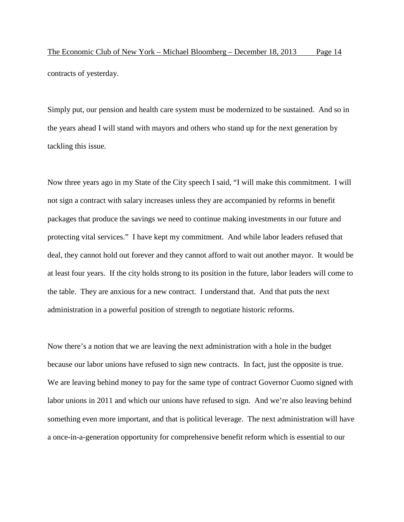Simply put, our pension and health care system must be modernized to be sustained. And so in the years ahead I will stand with mayors and others who stand up for the next generation by tackling this issue.

Now three years ago in my State of the City speech I said, "I will make this commitment. I will not sign a contract with salary increases unless they are accompanied by reforms in benefit packages that produce the savings we need to continue making investments in our future and protecting vital services." I have kept my commitment. And while labor leaders refused that deal, they cannot hold out forever and they cannot afford to wait out another mayor. It would be at least four years. If the city holds strong to its position in the future, labor leaders will come to the table. They are anxious for a new contract. I understand that. And that puts the next administration in a powerful position of strength to negotiate historic reforms.

Now there's a notion that we are leaving the next administration with a hole in the budget because our labor unions have refused to sign new contracts. In fact, just the opposite is true. We are leaving behind money to pay for the same type of contract Governor Cuomo signed with labor unions in 2011 and which our unions have refused to sign. And we're also leaving behind something even more important, and that is political leverage. The next administration will have a once-in-a-generation opportunity for comprehensive benefit reform which is essential to our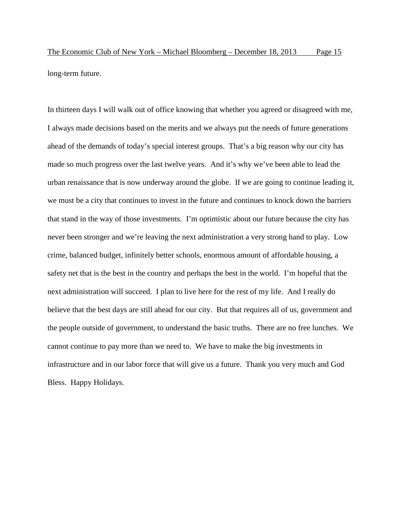The Economic Club of New York – Michael Bloomberg – December 18, 2013 Page 15 long-term future.

In thirteen days I will walk out of office knowing that whether you agreed or disagreed with me, I always made decisions based on the merits and we always put the needs of future generations ahead of the demands of today's special interest groups. That's a big reason why our city has made so much progress over the last twelve years. And it's why we've been able to lead the urban renaissance that is now underway around the globe. If we are going to continue leading it, we must be a city that continues to invest in the future and continues to knock down the barriers that stand in the way of those investments. I'm optimistic about our future because the city has never been stronger and we're leaving the next administration a very strong hand to play. Low crime, balanced budget, infinitely better schools, enormous amount of affordable housing, a safety net that is the best in the country and perhaps the best in the world. I'm hopeful that the next administration will succeed. I plan to live here for the rest of my life. And I really do believe that the best days are still ahead for our city. But that requires all of us, government and the people outside of government, to understand the basic truths. There are no free lunches. We cannot continue to pay more than we need to. We have to make the big investments in infrastructure and in our labor force that will give us a future. Thank you very much and God Bless. Happy Holidays.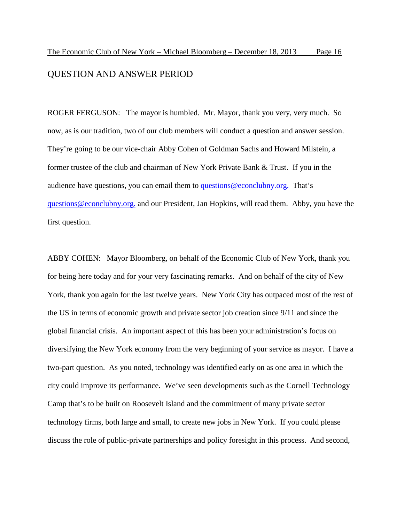## QUESTION AND ANSWER PERIOD

ROGER FERGUSON: The mayor is humbled. Mr. Mayor, thank you very, very much. So now, as is our tradition, two of our club members will conduct a question and answer session. They're going to be our vice-chair Abby Cohen of Goldman Sachs and Howard Milstein, a former trustee of the club and chairman of New York Private Bank & Trust. If you in the audience have questions, you can email them to [questions@econclubny.org.](mailto:questions@econclubny.org.) That's [questions@econclubny.org.](mailto:questions@econclubny.org.) and our President, Jan Hopkins, will read them. Abby, you have the first question.

ABBY COHEN: Mayor Bloomberg, on behalf of the Economic Club of New York, thank you for being here today and for your very fascinating remarks. And on behalf of the city of New York, thank you again for the last twelve years. New York City has outpaced most of the rest of the US in terms of economic growth and private sector job creation since 9/11 and since the global financial crisis. An important aspect of this has been your administration's focus on diversifying the New York economy from the very beginning of your service as mayor. I have a two-part question. As you noted, technology was identified early on as one area in which the city could improve its performance. We've seen developments such as the Cornell Technology Camp that's to be built on Roosevelt Island and the commitment of many private sector technology firms, both large and small, to create new jobs in New York. If you could please discuss the role of public-private partnerships and policy foresight in this process. And second,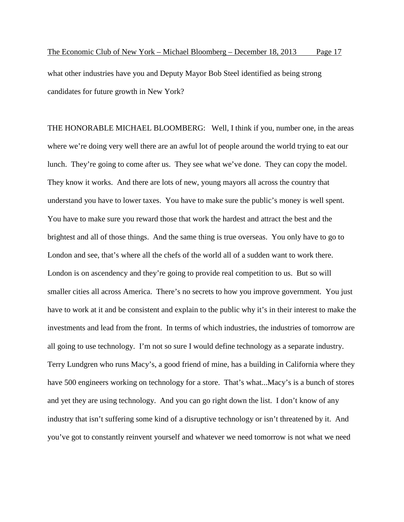what other industries have you and Deputy Mayor Bob Steel identified as being strong candidates for future growth in New York?

THE HONORABLE MICHAEL BLOOMBERG: Well, I think if you, number one, in the areas where we're doing very well there are an awful lot of people around the world trying to eat our lunch. They're going to come after us. They see what we've done. They can copy the model. They know it works. And there are lots of new, young mayors all across the country that understand you have to lower taxes. You have to make sure the public's money is well spent. You have to make sure you reward those that work the hardest and attract the best and the brightest and all of those things. And the same thing is true overseas. You only have to go to London and see, that's where all the chefs of the world all of a sudden want to work there. London is on ascendency and they're going to provide real competition to us. But so will smaller cities all across America. There's no secrets to how you improve government. You just have to work at it and be consistent and explain to the public why it's in their interest to make the investments and lead from the front. In terms of which industries, the industries of tomorrow are all going to use technology. I'm not so sure I would define technology as a separate industry. Terry Lundgren who runs Macy's, a good friend of mine, has a building in California where they have 500 engineers working on technology for a store. That's what...Macy's is a bunch of stores and yet they are using technology. And you can go right down the list. I don't know of any industry that isn't suffering some kind of a disruptive technology or isn't threatened by it. And you've got to constantly reinvent yourself and whatever we need tomorrow is not what we need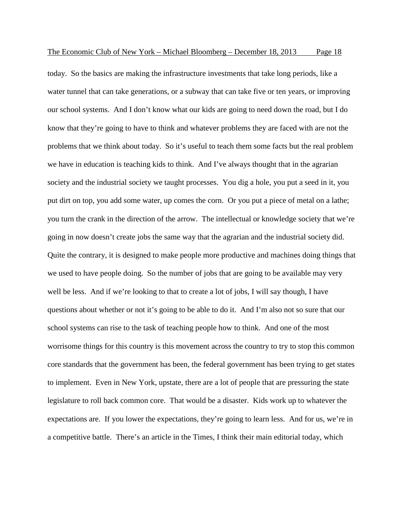today. So the basics are making the infrastructure investments that take long periods, like a water tunnel that can take generations, or a subway that can take five or ten years, or improving our school systems. And I don't know what our kids are going to need down the road, but I do know that they're going to have to think and whatever problems they are faced with are not the problems that we think about today. So it's useful to teach them some facts but the real problem we have in education is teaching kids to think. And I've always thought that in the agrarian society and the industrial society we taught processes. You dig a hole, you put a seed in it, you put dirt on top, you add some water, up comes the corn. Or you put a piece of metal on a lathe; you turn the crank in the direction of the arrow. The intellectual or knowledge society that we're going in now doesn't create jobs the same way that the agrarian and the industrial society did. Quite the contrary, it is designed to make people more productive and machines doing things that we used to have people doing. So the number of jobs that are going to be available may very well be less. And if we're looking to that to create a lot of jobs, I will say though, I have questions about whether or not it's going to be able to do it. And I'm also not so sure that our school systems can rise to the task of teaching people how to think. And one of the most worrisome things for this country is this movement across the country to try to stop this common core standards that the government has been, the federal government has been trying to get states to implement. Even in New York, upstate, there are a lot of people that are pressuring the state legislature to roll back common core. That would be a disaster. Kids work up to whatever the expectations are. If you lower the expectations, they're going to learn less. And for us, we're in a competitive battle. There's an article in the Times, I think their main editorial today, which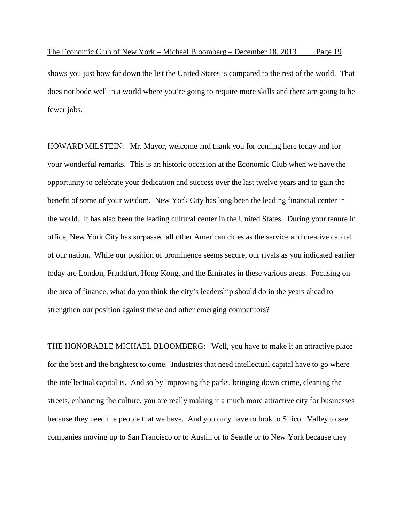shows you just how far down the list the United States is compared to the rest of the world. That does not bode well in a world where you're going to require more skills and there are going to be fewer jobs.

HOWARD MILSTEIN: Mr. Mayor, welcome and thank you for coming here today and for your wonderful remarks. This is an historic occasion at the Economic Club when we have the opportunity to celebrate your dedication and success over the last twelve years and to gain the benefit of some of your wisdom. New York City has long been the leading financial center in the world. It has also been the leading cultural center in the United States. During your tenure in office, New York City has surpassed all other American cities as the service and creative capital of our nation. While our position of prominence seems secure, our rivals as you indicated earlier today are London, Frankfurt, Hong Kong, and the Emirates in these various areas. Focusing on the area of finance, what do you think the city's leadership should do in the years ahead to strengthen our position against these and other emerging competitors?

THE HONORABLE MICHAEL BLOOMBERG: Well, you have to make it an attractive place for the best and the brightest to come. Industries that need intellectual capital have to go where the intellectual capital is. And so by improving the parks, bringing down crime, cleaning the streets, enhancing the culture, you are really making it a much more attractive city for businesses because they need the people that we have. And you only have to look to Silicon Valley to see companies moving up to San Francisco or to Austin or to Seattle or to New York because they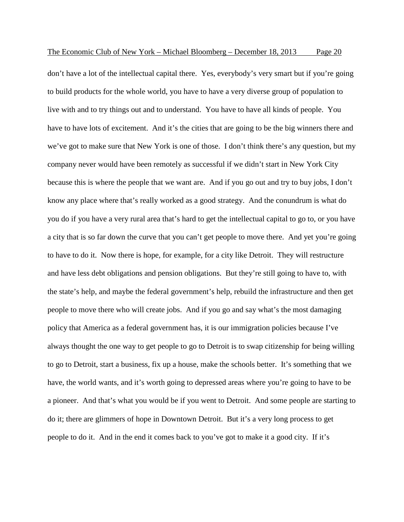don't have a lot of the intellectual capital there. Yes, everybody's very smart but if you're going to build products for the whole world, you have to have a very diverse group of population to live with and to try things out and to understand. You have to have all kinds of people. You have to have lots of excitement. And it's the cities that are going to be the big winners there and we've got to make sure that New York is one of those. I don't think there's any question, but my company never would have been remotely as successful if we didn't start in New York City because this is where the people that we want are. And if you go out and try to buy jobs, I don't know any place where that's really worked as a good strategy. And the conundrum is what do you do if you have a very rural area that's hard to get the intellectual capital to go to, or you have a city that is so far down the curve that you can't get people to move there. And yet you're going to have to do it. Now there is hope, for example, for a city like Detroit. They will restructure and have less debt obligations and pension obligations. But they're still going to have to, with the state's help, and maybe the federal government's help, rebuild the infrastructure and then get people to move there who will create jobs. And if you go and say what's the most damaging policy that America as a federal government has, it is our immigration policies because I've always thought the one way to get people to go to Detroit is to swap citizenship for being willing to go to Detroit, start a business, fix up a house, make the schools better. It's something that we have, the world wants, and it's worth going to depressed areas where you're going to have to be a pioneer. And that's what you would be if you went to Detroit. And some people are starting to do it; there are glimmers of hope in Downtown Detroit. But it's a very long process to get people to do it. And in the end it comes back to you've got to make it a good city. If it's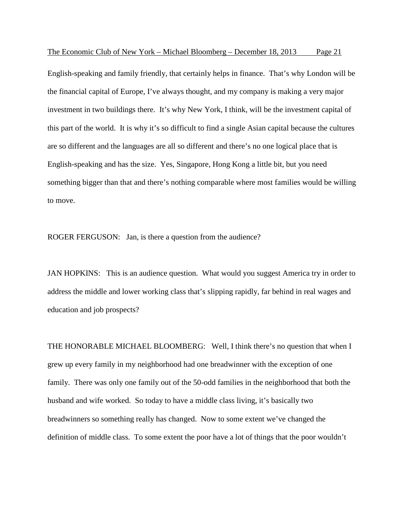English-speaking and family friendly, that certainly helps in finance. That's why London will be the financial capital of Europe, I've always thought, and my company is making a very major investment in two buildings there. It's why New York, I think, will be the investment capital of this part of the world. It is why it's so difficult to find a single Asian capital because the cultures are so different and the languages are all so different and there's no one logical place that is English-speaking and has the size. Yes, Singapore, Hong Kong a little bit, but you need something bigger than that and there's nothing comparable where most families would be willing to move.

ROGER FERGUSON: Jan, is there a question from the audience?

JAN HOPKINS: This is an audience question. What would you suggest America try in order to address the middle and lower working class that's slipping rapidly, far behind in real wages and education and job prospects?

THE HONORABLE MICHAEL BLOOMBERG: Well, I think there's no question that when I grew up every family in my neighborhood had one breadwinner with the exception of one family. There was only one family out of the 50-odd families in the neighborhood that both the husband and wife worked. So today to have a middle class living, it's basically two breadwinners so something really has changed. Now to some extent we've changed the definition of middle class. To some extent the poor have a lot of things that the poor wouldn't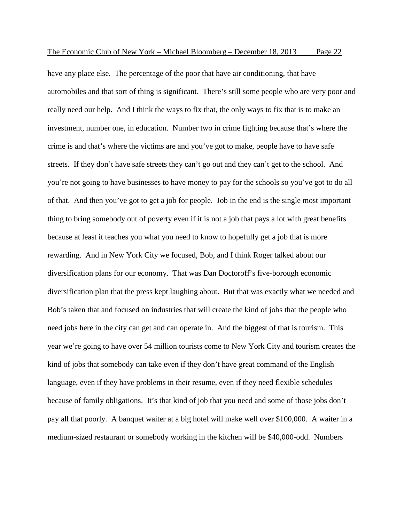have any place else. The percentage of the poor that have air conditioning, that have automobiles and that sort of thing is significant. There's still some people who are very poor and really need our help. And I think the ways to fix that, the only ways to fix that is to make an investment, number one, in education. Number two in crime fighting because that's where the crime is and that's where the victims are and you've got to make, people have to have safe streets. If they don't have safe streets they can't go out and they can't get to the school. And you're not going to have businesses to have money to pay for the schools so you've got to do all of that. And then you've got to get a job for people. Job in the end is the single most important thing to bring somebody out of poverty even if it is not a job that pays a lot with great benefits because at least it teaches you what you need to know to hopefully get a job that is more rewarding. And in New York City we focused, Bob, and I think Roger talked about our diversification plans for our economy. That was Dan Doctoroff's five-borough economic diversification plan that the press kept laughing about. But that was exactly what we needed and Bob's taken that and focused on industries that will create the kind of jobs that the people who need jobs here in the city can get and can operate in. And the biggest of that is tourism. This year we're going to have over 54 million tourists come to New York City and tourism creates the kind of jobs that somebody can take even if they don't have great command of the English language, even if they have problems in their resume, even if they need flexible schedules because of family obligations. It's that kind of job that you need and some of those jobs don't pay all that poorly. A banquet waiter at a big hotel will make well over \$100,000. A waiter in a medium-sized restaurant or somebody working in the kitchen will be \$40,000-odd. Numbers